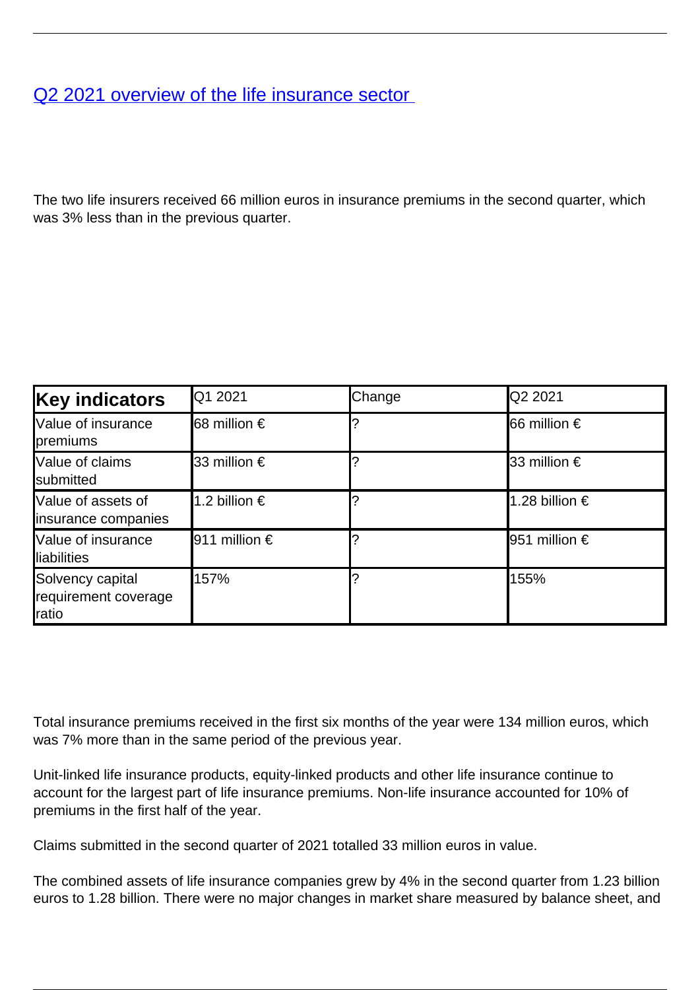## [Q2 2021 overview of the life insurance sector](/en/publications/q2-2021-overview-life-insurance-sector)

The two life insurers received 66 million euros in insurance premiums in the second quarter, which was 3% less than in the previous quarter.

| <b>Key indicators</b>                              | IQ1 2021            | Change | <b>Q2 2021</b>         |
|----------------------------------------------------|---------------------|--------|------------------------|
| Value of insurance<br>premiums                     | <b>68</b> million € |        | <b>I</b> 66 million €  |
| <b>Value of claims</b><br><b>I</b> submitted       | l33 million €       |        | <b>I</b> 33 million €  |
| Value of assets of<br>insurance companies          | 1.2 billion €       |        | 1.28 billion €         |
| Value of insurance<br><b>Iliabilities</b>          | 911 million €       |        | <b>I</b> 951 million € |
| Solvency capital<br>requirement coverage<br>Iratio | 157%                |        | 155%                   |

Total insurance premiums received in the first six months of the year were 134 million euros, which was 7% more than in the same period of the previous year.

Unit-linked life insurance products, equity-linked products and other life insurance continue to account for the largest part of life insurance premiums. Non-life insurance accounted for 10% of premiums in the first half of the year.

Claims submitted in the second quarter of 2021 totalled 33 million euros in value.

The combined assets of life insurance companies grew by 4% in the second quarter from 1.23 billion euros to 1.28 billion. There were no major changes in market share measured by balance sheet, and